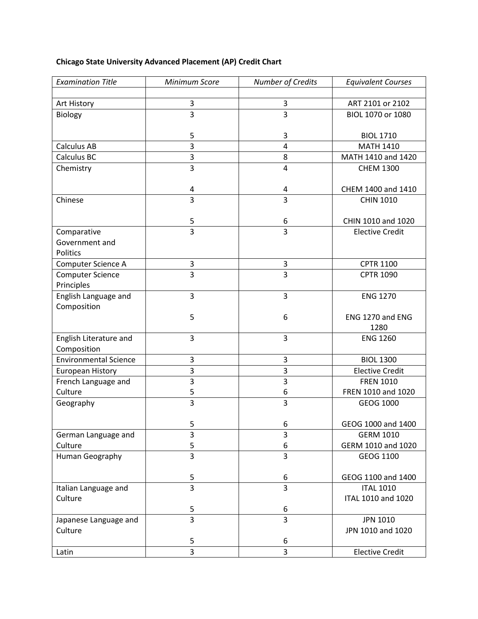## **Chicago State University Advanced Placement (AP) Credit Chart**

| <b>Examination Title</b>     | Minimum Score           | Number of Credits       | <b>Equivalent Courses</b> |
|------------------------------|-------------------------|-------------------------|---------------------------|
|                              |                         |                         |                           |
| Art History                  | 3                       | 3                       | ART 2101 or 2102          |
| Biology                      | $\overline{3}$          | $\overline{3}$          | BIOL 1070 or 1080         |
|                              |                         |                         |                           |
|                              | 5                       | 3                       | <b>BIOL 1710</b>          |
| <b>Calculus AB</b>           | $\overline{\mathbf{3}}$ | 4                       | <b>MATH 1410</b>          |
| Calculus BC                  | 3                       | 8                       | MATH 1410 and 1420        |
| Chemistry                    | $\overline{\mathbf{3}}$ | $\overline{4}$          | <b>CHEM 1300</b>          |
|                              |                         |                         |                           |
|                              | 4<br>3                  | 4<br>$\overline{3}$     | CHEM 1400 and 1410        |
| Chinese                      |                         |                         | <b>CHIN 1010</b>          |
|                              | 5                       | 6                       | CHIN 1010 and 1020        |
| Comparative                  | $\overline{3}$          | $\overline{3}$          | <b>Elective Credit</b>    |
| Government and               |                         |                         |                           |
| Politics                     |                         |                         |                           |
| Computer Science A           | 3                       | 3                       | <b>CPTR 1100</b>          |
| <b>Computer Science</b>      | 3                       | $\overline{3}$          | <b>CPTR 1090</b>          |
| Principles                   |                         |                         |                           |
| English Language and         | 3                       | 3                       | <b>ENG 1270</b>           |
| Composition                  |                         |                         |                           |
|                              | 5                       | 6                       | ENG 1270 and ENG          |
|                              |                         |                         | 1280                      |
| English Literature and       | 3                       | 3                       | <b>ENG 1260</b>           |
| Composition                  |                         |                         |                           |
| <b>Environmental Science</b> | 3                       | 3                       | <b>BIOL 1300</b>          |
| <b>European History</b>      | 3                       | $\overline{\mathbf{3}}$ | <b>Elective Credit</b>    |
| French Language and          | 3                       | 3                       | <b>FREN 1010</b>          |
| Culture                      | 5<br>$\overline{3}$     | 6                       | FREN 1010 and 1020        |
| Geography                    |                         | $\overline{\mathbf{3}}$ | GEOG 1000                 |
|                              | 5                       | 6                       | GEOG 1000 and 1400        |
| German Language and          | 3                       | 3                       | <b>GERM 1010</b>          |
| Culture                      | 5                       | 6                       | GERM 1010 and 1020        |
| Human Geography              | $\overline{3}$          | $\overline{3}$          | GEOG 1100                 |
|                              |                         |                         |                           |
|                              | 5                       | 6                       | GEOG 1100 and 1400        |
| Italian Language and         | 3                       | 3                       | <b>ITAL 1010</b>          |
| Culture                      |                         |                         | ITAL 1010 and 1020        |
|                              | 5                       | 6                       |                           |
| Japanese Language and        | 3                       | 3                       | <b>JPN 1010</b>           |
| Culture                      |                         |                         | JPN 1010 and 1020         |
|                              | 5                       | 6                       |                           |
| Latin                        | 3                       | $\overline{3}$          | <b>Elective Credit</b>    |